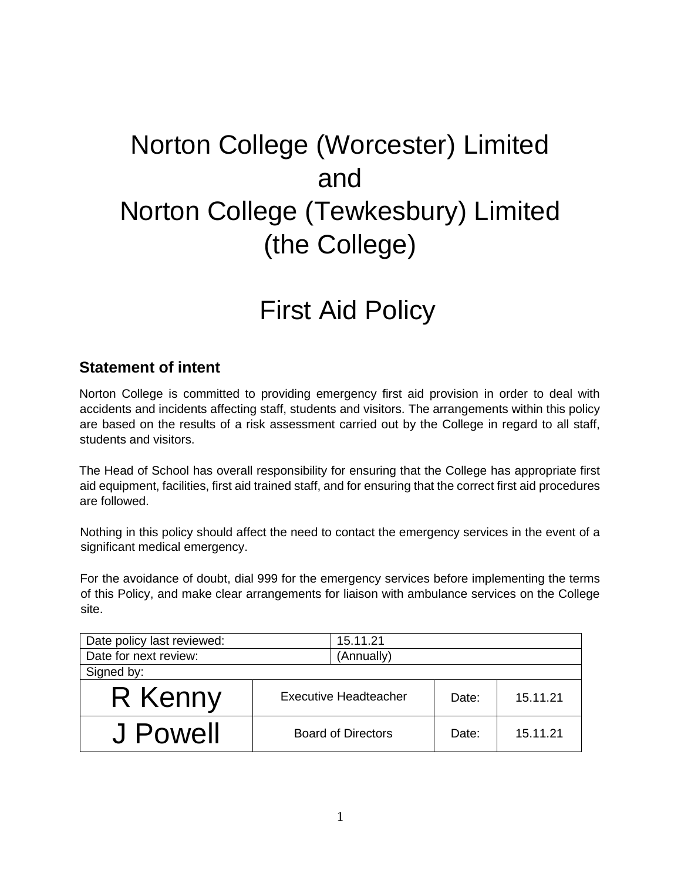# Norton College (Worcester) Limited and Norton College (Tewkesbury) Limited (the College)

## First Aid Policy

### **Statement of intent**

Norton College is committed to providing emergency first aid provision in order to deal with accidents and incidents affecting staff, students and visitors. The arrangements within this policy are based on the results of a risk assessment carried out by the College in regard to all staff, students and visitors.

The Head of School has overall responsibility for ensuring that the College has appropriate first aid equipment, facilities, first aid trained staff, and for ensuring that the correct first aid procedures are followed.

Nothing in this policy should affect the need to contact the emergency services in the event of a significant medical emergency.

For the avoidance of doubt, dial 999 for the emergency services before implementing the terms of this Policy, and make clear arrangements for liaison with ambulance services on the College site.

| Date policy last reviewed: | 15.11.21                     |       |          |
|----------------------------|------------------------------|-------|----------|
| Date for next review:      | (Annually)                   |       |          |
| Signed by:                 |                              |       |          |
| R Kenny                    | <b>Executive Headteacher</b> | Date: | 15.11.21 |
| J Powell                   | <b>Board of Directors</b>    | Date: | 15.11.21 |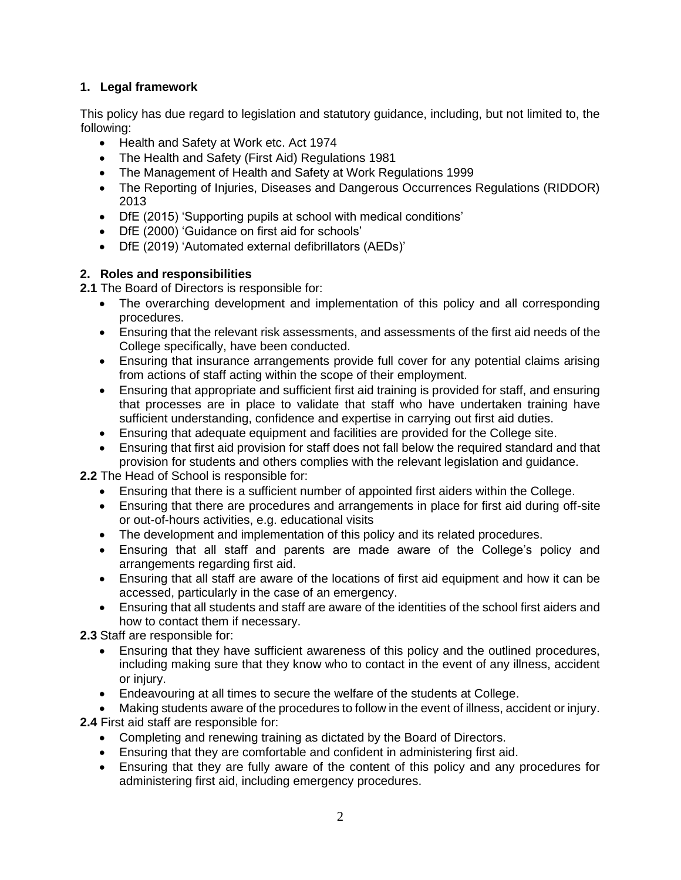#### **1. Legal framework**

This policy has due regard to legislation and statutory guidance, including, but not limited to, the following:

- Health and Safety at Work etc. Act 1974
- The Health and Safety (First Aid) Regulations 1981
- The Management of Health and Safety at Work Regulations 1999
- The Reporting of Injuries, Diseases and Dangerous Occurrences Regulations (RIDDOR) 2013
- DfE (2015) 'Supporting pupils at school with medical conditions'
- DfE (2000) 'Guidance on first aid for schools'
- DfE (2019) 'Automated external defibrillators (AEDs)'

#### **2. Roles and responsibilities**

**2.1** The Board of Directors is responsible for:

- The overarching development and implementation of this policy and all corresponding procedures.
- Ensuring that the relevant risk assessments, and assessments of the first aid needs of the College specifically, have been conducted.
- Ensuring that insurance arrangements provide full cover for any potential claims arising from actions of staff acting within the scope of their employment.
- Ensuring that appropriate and sufficient first aid training is provided for staff, and ensuring that processes are in place to validate that staff who have undertaken training have sufficient understanding, confidence and expertise in carrying out first aid duties.
- Ensuring that adequate equipment and facilities are provided for the College site.
- Ensuring that first aid provision for staff does not fall below the required standard and that provision for students and others complies with the relevant legislation and guidance.

**2.2** The Head of School is responsible for:

- Ensuring that there is a sufficient number of appointed first aiders within the College.
- Ensuring that there are procedures and arrangements in place for first aid during off-site or out-of-hours activities, e.g. educational visits
- The development and implementation of this policy and its related procedures.
- Ensuring that all staff and parents are made aware of the College's policy and arrangements regarding first aid.
- Ensuring that all staff are aware of the locations of first aid equipment and how it can be accessed, particularly in the case of an emergency.
- Ensuring that all students and staff are aware of the identities of the school first aiders and how to contact them if necessary.

**2.3** Staff are responsible for:

- Ensuring that they have sufficient awareness of this policy and the outlined procedures, including making sure that they know who to contact in the event of any illness, accident or injury.
- Endeavouring at all times to secure the welfare of the students at College.
- Making students aware of the procedures to follow in the event of illness, accident or injury. **2.4** First aid staff are responsible for:
	- Completing and renewing training as dictated by the Board of Directors.
	- Ensuring that they are comfortable and confident in administering first aid.
	- Ensuring that they are fully aware of the content of this policy and any procedures for administering first aid, including emergency procedures.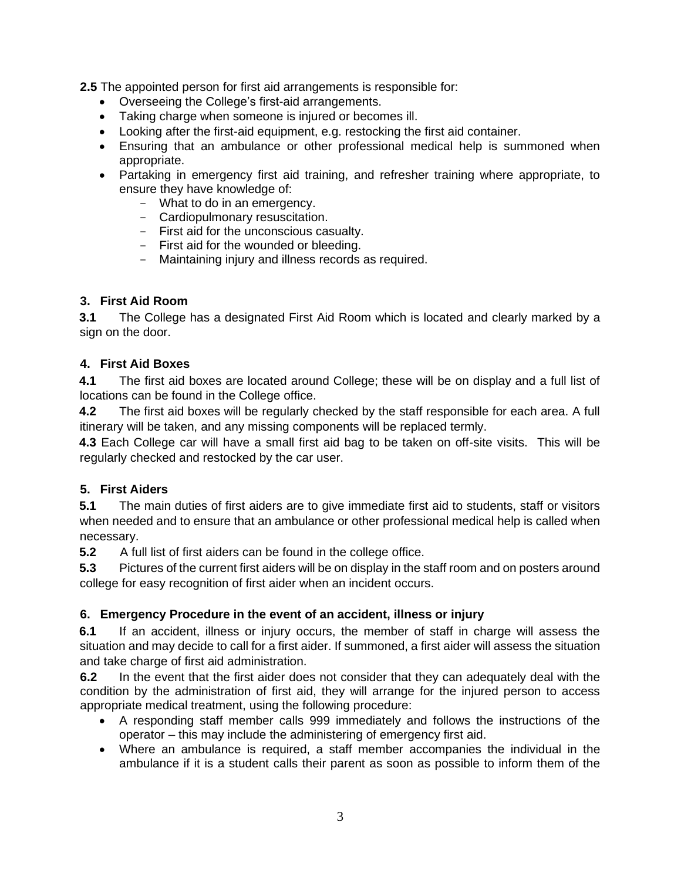**2.5** The appointed person for first aid arrangements is responsible for:

- Overseeing the College's first-aid arrangements.
- Taking charge when someone is injured or becomes ill.
- Looking after the first-aid equipment, e.g. restocking the first aid container.
- Ensuring that an ambulance or other professional medical help is summoned when appropriate.
- Partaking in emergency first aid training, and refresher training where appropriate, to ensure they have knowledge of:
	- What to do in an emergency.
	- Cardiopulmonary resuscitation.
	- First aid for the unconscious casualty.
	- First aid for the wounded or bleeding.
	- Maintaining injury and illness records as required.

#### **3. First Aid Room**

**3.1** The College has a designated First Aid Room which is located and clearly marked by a sign on the door.

#### **4. First Aid Boxes**

**4.1** The first aid boxes are located around College; these will be on display and a full list of locations can be found in the College office.

**4.2** The first aid boxes will be regularly checked by the staff responsible for each area. A full itinerary will be taken, and any missing components will be replaced termly.

**4.3** Each College car will have a small first aid bag to be taken on off-site visits. This will be regularly checked and restocked by the car user.

#### **5. First Aiders**

**5.1** The main duties of first aiders are to give immediate first aid to students, staff or visitors when needed and to ensure that an ambulance or other professional medical help is called when necessary.

**5.2** A full list of first aiders can be found in the college office.

**5.3** Pictures of the current first aiders will be on display in the staff room and on posters around college for easy recognition of first aider when an incident occurs.

#### **6. Emergency Procedure in the event of an accident, illness or injury**

**6.1** If an accident, illness or injury occurs, the member of staff in charge will assess the situation and may decide to call for a first aider. If summoned, a first aider will assess the situation and take charge of first aid administration.

**6.2** In the event that the first aider does not consider that they can adequately deal with the condition by the administration of first aid, they will arrange for the injured person to access appropriate medical treatment, using the following procedure:

- A responding staff member calls 999 immediately and follows the instructions of the operator – this may include the administering of emergency first aid.
- Where an ambulance is required, a staff member accompanies the individual in the ambulance if it is a student calls their parent as soon as possible to inform them of the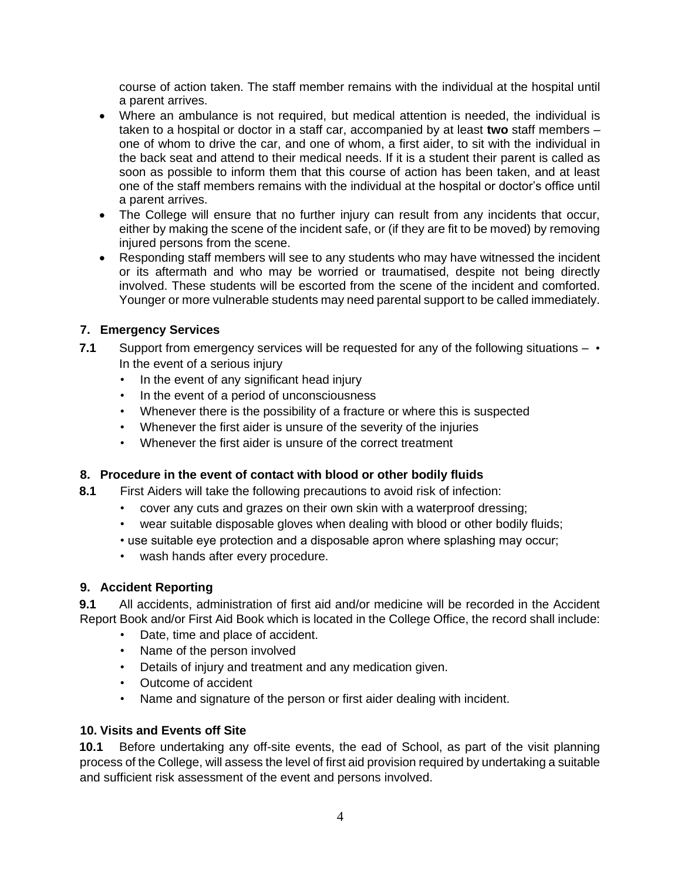course of action taken. The staff member remains with the individual at the hospital until a parent arrives.

- Where an ambulance is not required, but medical attention is needed, the individual is taken to a hospital or doctor in a staff car, accompanied by at least **two** staff members – one of whom to drive the car, and one of whom, a first aider, to sit with the individual in the back seat and attend to their medical needs. If it is a student their parent is called as soon as possible to inform them that this course of action has been taken, and at least one of the staff members remains with the individual at the hospital or doctor's office until a parent arrives.
- The College will ensure that no further injury can result from any incidents that occur, either by making the scene of the incident safe, or (if they are fit to be moved) by removing injured persons from the scene.
- Responding staff members will see to any students who may have witnessed the incident or its aftermath and who may be worried or traumatised, despite not being directly involved. These students will be escorted from the scene of the incident and comforted. Younger or more vulnerable students may need parental support to be called immediately.

#### **7. Emergency Services**

- **7.1** Support from emergency services will be requested for any of the following situations • In the event of a serious injury
	- In the event of any significant head injury
	- In the event of a period of unconsciousness
	- Whenever there is the possibility of a fracture or where this is suspected
	- Whenever the first aider is unsure of the severity of the injuries
	- Whenever the first aider is unsure of the correct treatment

#### **8. Procedure in the event of contact with blood or other bodily fluids**

- **8.1** First Aiders will take the following precautions to avoid risk of infection:
	- cover any cuts and grazes on their own skin with a waterproof dressing;
	- wear suitable disposable gloves when dealing with blood or other bodily fluids;
	- use suitable eye protection and a disposable apron where splashing may occur;
	- wash hands after every procedure.

#### **9. Accident Reporting**

**9.1** All accidents, administration of first aid and/or medicine will be recorded in the Accident Report Book and/or First Aid Book which is located in the College Office, the record shall include:

- Date, time and place of accident.
- Name of the person involved
- Details of injury and treatment and any medication given.
- Outcome of accident
- Name and signature of the person or first aider dealing with incident.

#### **10. Visits and Events off Site**

**10.1** Before undertaking any off-site events, the ead of School, as part of the visit planning process of the College, will assess the level of first aid provision required by undertaking a suitable and sufficient risk assessment of the event and persons involved.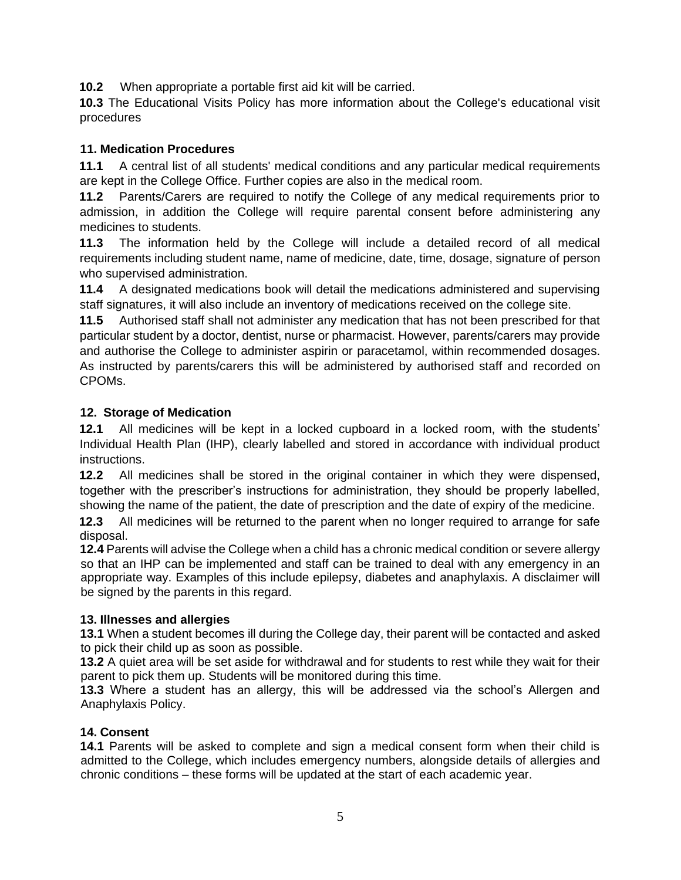**10.2** When appropriate a portable first aid kit will be carried.

**10.3** The Educational Visits Policy has more information about the College's educational visit procedures

#### **11. Medication Procedures**

**11.1** A central list of all students' medical conditions and any particular medical requirements are kept in the College Office. Further copies are also in the medical room.

**11.2** Parents/Carers are required to notify the College of any medical requirements prior to admission, in addition the College will require parental consent before administering any medicines to students.

**11.3** The information held by the College will include a detailed record of all medical requirements including student name, name of medicine, date, time, dosage, signature of person who supervised administration.

**11.4** A designated medications book will detail the medications administered and supervising staff signatures, it will also include an inventory of medications received on the college site.

**11.5** Authorised staff shall not administer any medication that has not been prescribed for that particular student by a doctor, dentist, nurse or pharmacist. However, parents/carers may provide and authorise the College to administer aspirin or paracetamol, within recommended dosages. As instructed by parents/carers this will be administered by authorised staff and recorded on CPOMs.

#### **12. Storage of Medication**

**12.1** All medicines will be kept in a locked cupboard in a locked room, with the students' Individual Health Plan (IHP), clearly labelled and stored in accordance with individual product instructions.

**12.2** All medicines shall be stored in the original container in which they were dispensed, together with the prescriber's instructions for administration, they should be properly labelled, showing the name of the patient, the date of prescription and the date of expiry of the medicine.

**12.3** All medicines will be returned to the parent when no longer required to arrange for safe disposal.

**12.4** Parents will advise the College when a child has a chronic medical condition or severe allergy so that an IHP can be implemented and staff can be trained to deal with any emergency in an appropriate way. Examples of this include epilepsy, diabetes and anaphylaxis. A disclaimer will be signed by the parents in this regard.

#### **13. Illnesses and allergies**

**13.1** When a student becomes ill during the College day, their parent will be contacted and asked to pick their child up as soon as possible.

**13.2** A quiet area will be set aside for withdrawal and for students to rest while they wait for their parent to pick them up. Students will be monitored during this time.

**13.3** Where a student has an allergy, this will be addressed via the school's Allergen and Anaphylaxis Policy.

#### **14. Consent**

**14.1** Parents will be asked to complete and sign a medical consent form when their child is admitted to the College, which includes emergency numbers, alongside details of allergies and chronic conditions – these forms will be updated at the start of each academic year.